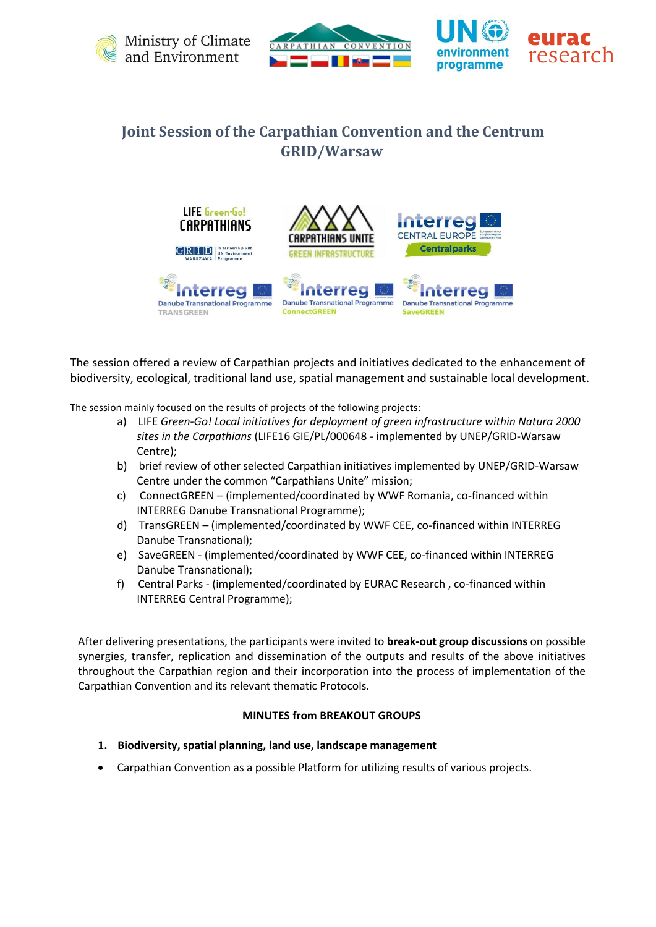





## **Joint Session of the Carpathian Convention and the Centrum GRID/Warsaw**



The session offered a review of Carpathian projects and initiatives dedicated to the enhancement of biodiversity, ecological, traditional land use, spatial management and sustainable local development.

The session mainly focused on the results of projects of the following projects:

- a) LIFE *Green-Go! Local initiatives for deployment of green infrastructure within Natura 2000 sites in the Carpathians* (LIFE16 GIE/PL/000648 - implemented by UNEP/GRID-Warsaw Centre);
- b) brief review of other selected Carpathian initiatives implemented by UNEP/GRID-Warsaw Centre under the common "Carpathians Unite" mission;
- c) ConnectGREEN (implemented/coordinated by WWF Romania, co-financed within INTERREG Danube Transnational Programme);
- d) TransGREEN (implemented/coordinated by WWF CEE, co-financed within INTERREG Danube Transnational);
- e) SaveGREEN (implemented/coordinated by WWF CEE, co-financed within INTERREG Danube Transnational);
- f) Central Parks (implemented/coordinated by EURAC Research , co-financed within INTERREG Central Programme);

After delivering presentations, the participants were invited to **break-out group discussions** on possible synergies, transfer, replication and dissemination of the outputs and results of the above initiatives throughout the Carpathian region and their incorporation into the process of implementation of the Carpathian Convention and its relevant thematic Protocols.

## **MINUTES from BREAKOUT GROUPS**

- **1. Biodiversity, spatial planning, land use, landscape management**
- Carpathian Convention as a possible Platform for utilizing results of various projects.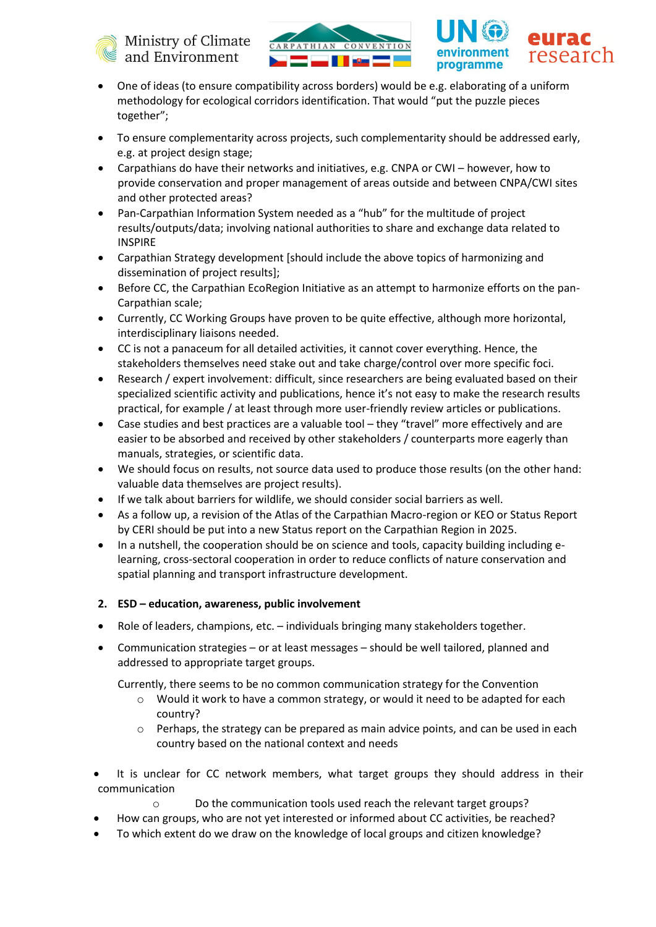





- One of ideas (to ensure compatibility across borders) would be e.g. elaborating of a uniform methodology for ecological corridors identification. That would "put the puzzle pieces together";
- To ensure complementarity across projects, such complementarity should be addressed early, e.g. at project design stage;
- Carpathians do have their networks and initiatives, e.g. CNPA or CWI however, how to provide conservation and proper management of areas outside and between CNPA/CWI sites and other protected areas?
- Pan-Carpathian Information System needed as a "hub" for the multitude of project results/outputs/data; involving national authorities to share and exchange data related to INSPIRE
- Carpathian Strategy development [should include the above topics of harmonizing and dissemination of project results];
- Before CC, the Carpathian EcoRegion Initiative as an attempt to harmonize efforts on the pan-Carpathian scale;
- Currently, CC Working Groups have proven to be quite effective, although more horizontal, interdisciplinary liaisons needed.
- CC is not a panaceum for all detailed activities, it cannot cover everything. Hence, the stakeholders themselves need stake out and take charge/control over more specific foci.
- Research / expert involvement: difficult, since researchers are being evaluated based on their specialized scientific activity and publications, hence it's not easy to make the research results practical, for example / at least through more user-friendly review articles or publications.
- Case studies and best practices are a valuable tool they "travel" more effectively and are easier to be absorbed and received by other stakeholders / counterparts more eagerly than manuals, strategies, or scientific data.
- We should focus on results, not source data used to produce those results (on the other hand: valuable data themselves are project results).
- If we talk about barriers for wildlife, we should consider social barriers as well.
- As a follow up, a revision of the Atlas of the Carpathian Macro-region or KEO or Status Report by CERI should be put into a new Status report on the Carpathian Region in 2025.
- In a nutshell, the cooperation should be on science and tools, capacity building including elearning, cross-sectoral cooperation in order to reduce conflicts of nature conservation and spatial planning and transport infrastructure development.
- **2. ESD – education, awareness, public involvement**
- Role of leaders, champions, etc. individuals bringing many stakeholders together.
- Communication strategies or at least messages should be well tailored, planned and addressed to appropriate target groups.

Currently, there seems to be no common communication strategy for the Convention

- o Would it work to have a common strategy, or would it need to be adapted for each country?
- $\circ$  Perhaps, the strategy can be prepared as main advice points, and can be used in each country based on the national context and needs
- It is unclear for CC network members, what target groups they should address in their communication
	- o Do the communication tools used reach the relevant target groups?
- How can groups, who are not yet interested or informed about CC activities, be reached?
- To which extent do we draw on the knowledge of local groups and citizen knowledge?